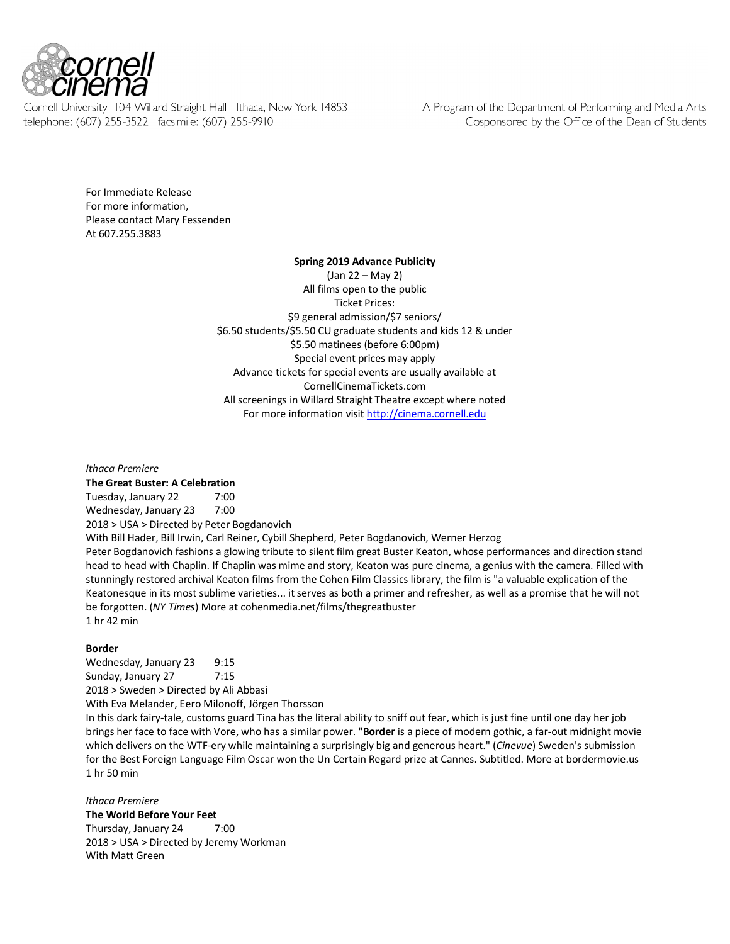

Cornell University 104 Willard Straight Hall Ithaca, New York 14853 telephone: (607) 255-3522 facsimile: (607) 255-9910

A Program of the Department of Performing and Media Arts Cosponsored by the Office of the Dean of Students

For Immediate Release For more information, Please contact Mary Fessenden At 607.255.3883

## **Spring 2019 Advance Publicity**

(Jan 22 – May 2) All films open to the public Ticket Prices: \$9 general admission/\$7 seniors/ \$6.50 students/\$5.50 CU graduate students and kids 12 & under \$5.50 matinees (before 6:00pm) Special event prices may apply Advance tickets for special events are usually available at CornellCinemaTickets.com All screenings in Willard Straight Theatre except where noted For more information visit http://cinema.cornell.edu

*Ithaca Premiere*

**The Great Buster: A Celebration** Tuesday, January 22 7:00 Wednesday, January 23 7:00 2018 > USA > Directed by Peter Bogdanovich With Bill Hader, Bill Irwin, Carl Reiner, Cybill Shepherd, Peter Bogdanovich, Werner Herzog Peter Bogdanovich fashions a glowing tribute to silent film great Buster Keaton, whose performances and direction stand

head to head with Chaplin. If Chaplin was mime and story, Keaton was pure cinema, a genius with the camera. Filled with stunningly restored archival Keaton films from the Cohen Film Classics library, the film is "a valuable explication of the Keatonesque in its most sublime varieties... it serves as both a primer and refresher, as well as a promise that he will not be forgotten. (*NY Times*) More at cohenmedia.net/films/thegreatbuster 1 hr 42 min

## **Border**

Wednesday, January 23 9:15 Sunday, January 27 7:15 2018 > Sweden > Directed by Ali Abbasi With Eva Melander, Eero Milonoff, Jörgen Thorsson

In this dark fairy-tale, customs guard Tina has the literal ability to sniff out fear, which is just fine until one day her job brings her face to face with Vore, who has a similar power. "**Border** is a piece of modern gothic, a far-out midnight movie which delivers on the WTF-ery while maintaining a surprisingly big and generous heart." (*Cinevue*) Sweden's submission for the Best Foreign Language Film Oscar won the Un Certain Regard prize at Cannes. Subtitled. More at bordermovie.us 1 hr 50 min

*Ithaca Premiere* **The World Before Your Feet** Thursday, January 24 7:00 2018 > USA > Directed by Jeremy Workman With Matt Green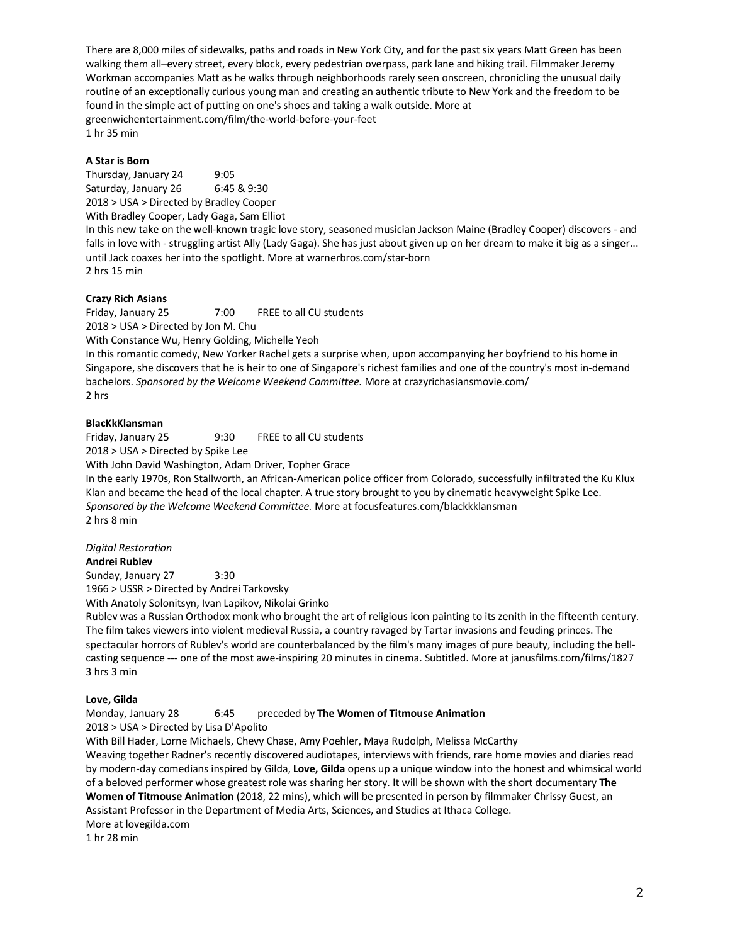There are 8,000 miles of sidewalks, paths and roads in New York City, and for the past six years Matt Green has been walking them all–every street, every block, every pedestrian overpass, park lane and hiking trail. Filmmaker Jeremy Workman accompanies Matt as he walks through neighborhoods rarely seen onscreen, chronicling the unusual daily routine of an exceptionally curious young man and creating an authentic tribute to New York and the freedom to be found in the simple act of putting on one's shoes and taking a walk outside. More at greenwichentertainment.com/film/the-world-before-your-feet 1 hr 35 min

## **A Star is Born**

Thursday, January 24 9:05 Saturday, January 26 6:45 & 9:30 2018 > USA > Directed by Bradley Cooper With Bradley Cooper, Lady Gaga, Sam Elliot

In this new take on the well-known tragic love story, seasoned musician Jackson Maine (Bradley Cooper) discovers - and falls in love with - struggling artist Ally (Lady Gaga). She has just about given up on her dream to make it big as a singer... until Jack coaxes her into the spotlight. More at warnerbros.com/star-born 2 hrs 15 min

## **Crazy Rich Asians**

Friday, January 25 7:00 FREE to all CU students 2018 > USA > Directed by Jon M. Chu With Constance Wu, Henry Golding, Michelle Yeoh

In this romantic comedy, New Yorker Rachel gets a surprise when, upon accompanying her boyfriend to his home in Singapore, she discovers that he is heir to one of Singapore's richest families and one of the country's most in-demand bachelors. *Sponsored by the Welcome Weekend Committee.* More at crazyrichasiansmovie.com/ 2 hrs

## **BlacKkKlansman**

Friday, January 25 9:30 FREE to all CU students 2018 > USA > Directed by Spike Lee

With John David Washington, Adam Driver, Topher Grace

In the early 1970s, Ron Stallworth, an African-American police officer from Colorado, successfully infiltrated the Ku Klux Klan and became the head of the local chapter. A true story brought to you by cinematic heavyweight Spike Lee. *Sponsored by the Welcome Weekend Committee.* More at focusfeatures.com/blackkklansman 2 hrs 8 min

## *Digital Restoration*

**Andrei Rublev**

Sunday, January 27 3:30 1966 > USSR > Directed by Andrei Tarkovsky

With Anatoly Solonitsyn, Ivan Lapikov, Nikolai Grinko

Rublev was a Russian Orthodox monk who brought the art of religious icon painting to its zenith in the fifteenth century. The film takes viewers into violent medieval Russia, a country ravaged by Tartar invasions and feuding princes. The spectacular horrors of Rublev's world are counterbalanced by the film's many images of pure beauty, including the bellcasting sequence --- one of the most awe-inspiring 20 minutes in cinema. Subtitled. More at janusfilms.com/films/1827 3 hrs 3 min

## **Love, Gilda**

Monday, January 28 6:45 preceded by **The Women of Titmouse Animation**

2018 > USA > Directed by Lisa D'Apolito

With Bill Hader, Lorne Michaels, Chevy Chase, Amy Poehler, Maya Rudolph, Melissa McCarthy

Weaving together Radner's recently discovered audiotapes, interviews with friends, rare home movies and diaries read by modern-day comedians inspired by Gilda, **Love, Gilda** opens up a unique window into the honest and whimsical world of a beloved performer whose greatest role was sharing her story. It will be shown with the short documentary **The Women of Titmouse Animation** (2018, 22 mins), which will be presented in person by filmmaker Chrissy Guest, an Assistant Professor in the Department of Media Arts, Sciences, and Studies at Ithaca College. More at lovegilda.com

1 hr 28 min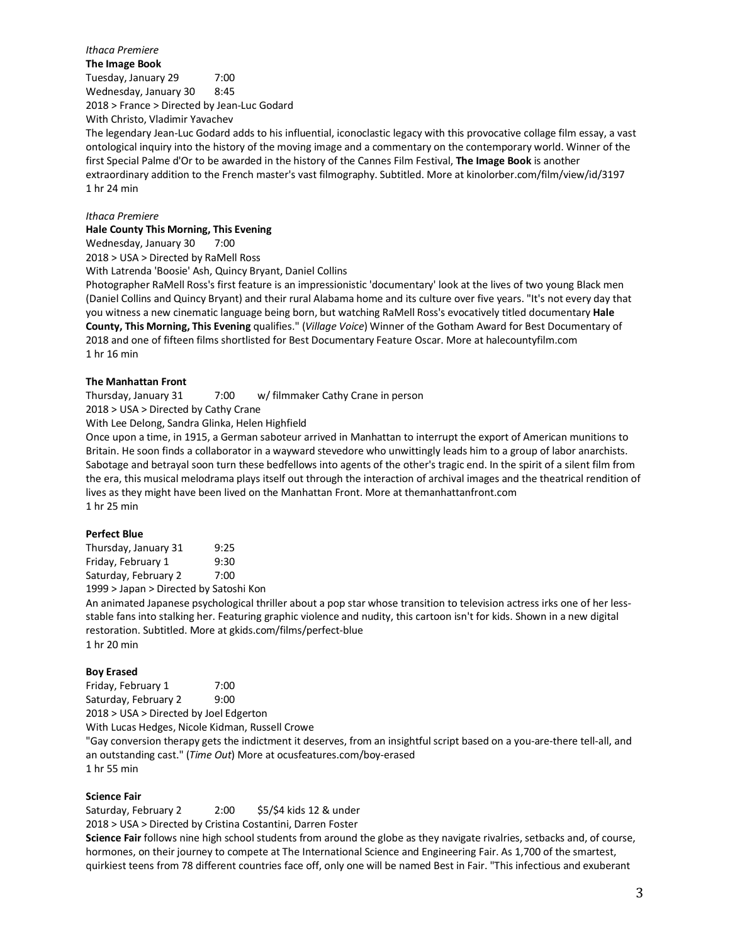*Ithaca Premiere* **The Image Book** Tuesday, January 29 7:00 Wednesday, January 30 8:45 2018 > France > Directed by Jean-Luc Godard

With Christo, Vladimir Yavachev

The legendary Jean-Luc Godard adds to his influential, iconoclastic legacy with this provocative collage film essay, a vast ontological inquiry into the history of the moving image and a commentary on the contemporary world. Winner of the first Special Palme d'Or to be awarded in the history of the Cannes Film Festival, **The Image Book** is another extraordinary addition to the French master's vast filmography. Subtitled. More at kinolorber.com/film/view/id/3197 1 hr 24 min

*Ithaca Premiere*

**Hale County This Morning, This Evening**

Wednesday, January 30 7:00

2018 > USA > Directed by RaMell Ross

With Latrenda 'Boosie' Ash, Quincy Bryant, Daniel Collins

Photographer RaMell Ross's first feature is an impressionistic 'documentary' look at the lives of two young Black men (Daniel Collins and Quincy Bryant) and their rural Alabama home and its culture over five years. "It's not every day that you witness a new cinematic language being born, but watching RaMell Ross's evocatively titled documentary **Hale County, This Morning, This Evening** qualifies." (*Village Voice*) Winner of the Gotham Award for Best Documentary of 2018 and one of fifteen films shortlisted for Best Documentary Feature Oscar. More at halecountyfilm.com 1 hr 16 min

### **The Manhattan Front**

Thursday, January 31 7:00 w/ filmmaker Cathy Crane in person

2018 > USA > Directed by Cathy Crane

With Lee Delong, Sandra Glinka, Helen Highfield

Once upon a time, in 1915, a German saboteur arrived in Manhattan to interrupt the export of American munitions to Britain. He soon finds a collaborator in a wayward stevedore who unwittingly leads him to a group of labor anarchists. Sabotage and betrayal soon turn these bedfellows into agents of the other's tragic end. In the spirit of a silent film from the era, this musical melodrama plays itself out through the interaction of archival images and the theatrical rendition of lives as they might have been lived on the Manhattan Front. More at themanhattanfront.com 1 hr 25 min

## **Perfect Blue**

Thursday, January 31 9:25 Friday, February 1 9:30 Saturday, February 2 7:00

1999 > Japan > Directed by Satoshi Kon

An animated Japanese psychological thriller about a pop star whose transition to television actress irks one of her lessstable fans into stalking her. Featuring graphic violence and nudity, this cartoon isn't for kids. Shown in a new digital restoration. Subtitled. More at gkids.com/films/perfect-blue

1 hr 20 min

## **Boy Erased**

Friday, February 1 7:00 Saturday, February 2 9:00 2018 > USA > Directed by Joel Edgerton With Lucas Hedges, Nicole Kidman, Russell Crowe "Gay conversion therapy gets the indictment it deserves, from an insightful script based on a you-are-there tell-all, and an outstanding cast." (*Time Out*) More at ocusfeatures.com/boy-erased

1 hr 55 min

## **Science Fair**

Saturday, February 2 2:00 \$5/\$4 kids 12 & under 2018 > USA > Directed by Cristina Costantini, Darren Foster

**Science Fair** follows nine high school students from around the globe as they navigate rivalries, setbacks and, of course, hormones, on their journey to compete at The International Science and Engineering Fair. As 1,700 of the smartest, quirkiest teens from 78 different countries face off, only one will be named Best in Fair. "This infectious and exuberant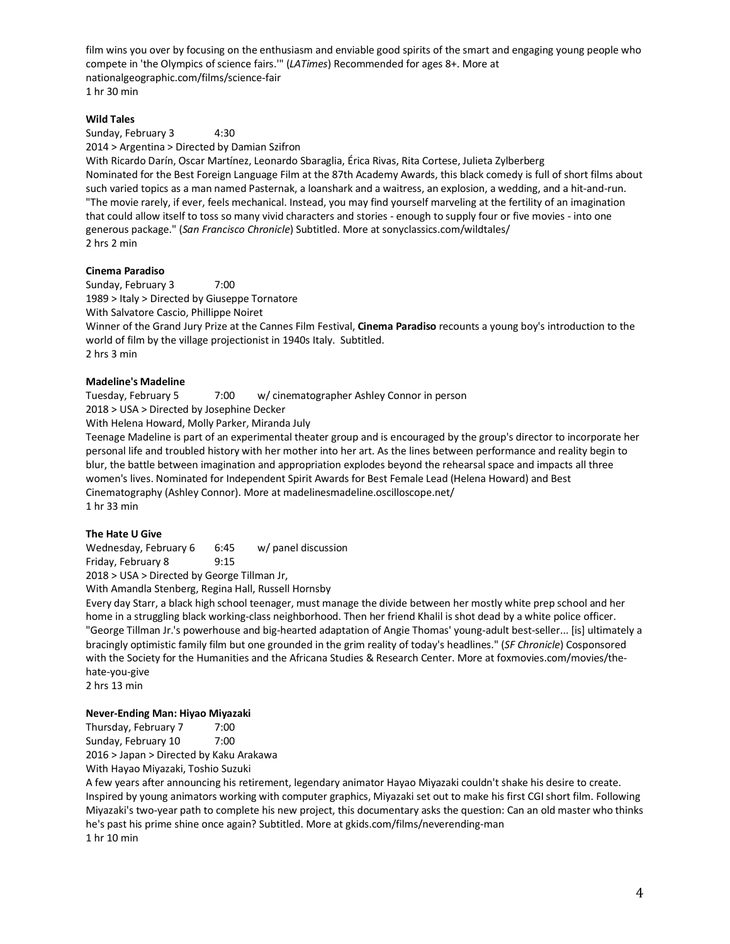film wins you over by focusing on the enthusiasm and enviable good spirits of the smart and engaging young people who compete in 'the Olympics of science fairs.'" (*LATimes*) Recommended for ages 8+. More at nationalgeographic.com/films/science-fair 1 hr 30 min

## **Wild Tales**

Sunday, February 3 4:30 2014 > Argentina > Directed by Damian Szifron

With Ricardo Darín, Oscar Martínez, Leonardo Sbaraglia, Érica Rivas, Rita Cortese, Julieta Zylberberg Nominated for the Best Foreign Language Film at the 87th Academy Awards, this black comedy is full of short films about such varied topics as a man named Pasternak, a loanshark and a waitress, an explosion, a wedding, and a hit-and-run. "The movie rarely, if ever, feels mechanical. Instead, you may find yourself marveling at the fertility of an imagination that could allow itself to toss so many vivid characters and stories - enough to supply four or five movies - into one generous package." (*San Francisco Chronicle*) Subtitled. More at sonyclassics.com/wildtales/ 2 hrs 2 min

## **Cinema Paradiso**

Sunday, February 3 7:00 1989 > Italy > Directed by Giuseppe Tornatore With Salvatore Cascio, Phillippe Noiret

Winner of the Grand Jury Prize at the Cannes Film Festival, **Cinema Paradiso** recounts a young boy's introduction to the world of film by the village projectionist in 1940s Italy. Subtitled. 2 hrs 3 min

## **Madeline's Madeline**

Tuesday, February 5 7:00 w/ cinematographer Ashley Connor in person 2018 > USA > Directed by Josephine Decker

With Helena Howard, Molly Parker, Miranda July

Teenage Madeline is part of an experimental theater group and is encouraged by the group's director to incorporate her personal life and troubled history with her mother into her art. As the lines between performance and reality begin to blur, the battle between imagination and appropriation explodes beyond the rehearsal space and impacts all three women's lives. Nominated for Independent Spirit Awards for Best Female Lead (Helena Howard) and Best Cinematography (Ashley Connor). More at madelinesmadeline.oscilloscope.net/ 1 hr 33 min

## **The Hate U Give**

Wednesday, February 6 6:45 w/ panel discussion Friday, February 8 9:15

2018 > USA > Directed by George Tillman Jr,

With Amandla Stenberg, Regina Hall, Russell Hornsby

Every day Starr, a black high school teenager, must manage the divide between her mostly white prep school and her home in a struggling black working-class neighborhood. Then her friend Khalil is shot dead by a white police officer. "George Tillman Jr.'s powerhouse and big-hearted adaptation of Angie Thomas' young-adult best-seller... [is] ultimately a bracingly optimistic family film but one grounded in the grim reality of today's headlines." (*SF Chronicle*) Cosponsored with the Society for the Humanities and the Africana Studies & Research Center. More at foxmovies.com/movies/thehate-you-give

2 hrs 13 min

## **Never-Ending Man: Hiyao Miyazaki**

Thursday, February 7 7:00 Sunday, February 10 7:00 2016 > Japan > Directed by Kaku Arakawa

With Hayao Miyazaki, Toshio Suzuki

A few years after announcing his retirement, legendary animator Hayao Miyazaki couldn't shake his desire to create. Inspired by young animators working with computer graphics, Miyazaki set out to make his first CGI short film. Following Miyazaki's two-year path to complete his new project, this documentary asks the question: Can an old master who thinks he's past his prime shine once again? Subtitled. More at gkids.com/films/neverending-man 1 hr 10 min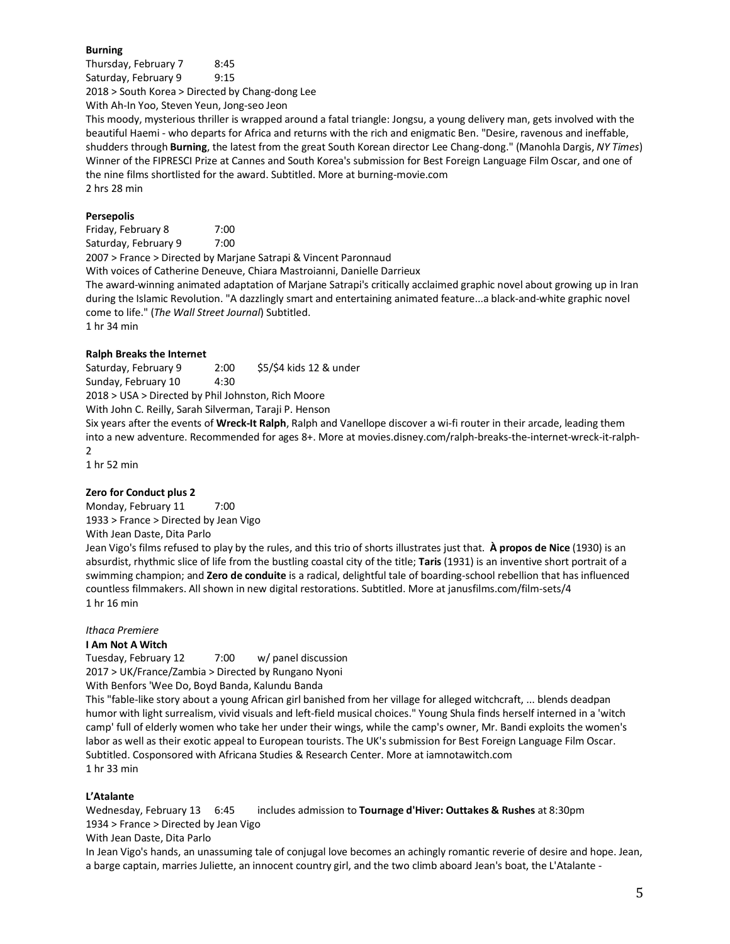## **Burning**

Thursday, February 7 8:45 Saturday, February 9 9:15 2018 > South Korea > Directed by Chang-dong Lee

With Ah-In Yoo, Steven Yeun, Jong-seo Jeon

This moody, mysterious thriller is wrapped around a fatal triangle: Jongsu, a young delivery man, gets involved with the beautiful Haemi - who departs for Africa and returns with the rich and enigmatic Ben. "Desire, ravenous and ineffable, shudders through **Burning**, the latest from the great South Korean director Lee Chang-dong." (Manohla Dargis, *NY Times*) Winner of the FIPRESCI Prize at Cannes and South Korea's submission for Best Foreign Language Film Oscar, and one of the nine films shortlisted for the award. Subtitled. More at burning-movie.com 2 hrs 28 min

## **Persepolis**

Friday, February 8 7:00 Saturday, February 9 7:00 2007 > France > Directed by Marjane Satrapi & Vincent Paronnaud With voices of Catherine Deneuve, Chiara Mastroianni, Danielle Darrieux The award-winning animated adaptation of Marjane Satrapi's critically acclaimed graphic novel about growing up in Iran during the Islamic Revolution. "A dazzlingly smart and entertaining animated feature...a black-and-white graphic novel come to life." (*The Wall Street Journal*) Subtitled. 1 hr 34 min

## **Ralph Breaks the Internet**

Saturday, February 9 2:00 \$5/\$4 kids 12 & under Sunday, February 10 4:30 2018 > USA > Directed by Phil Johnston, Rich Moore With John C. Reilly, Sarah Silverman, Taraji P. Henson Six years after the events of **Wreck-It Ralph**, Ralph and Vanellope discover a wi-fi router in their arcade, leading them into a new adventure. Recommended for ages 8+. More at movies.disney.com/ralph-breaks-the-internet-wreck-it-ralph-

1 hr 52 min

 $\overline{2}$ 

## **Zero for Conduct plus 2**

Monday, February 11 7:00 1933 > France > Directed by Jean Vigo

With Jean Daste, Dita Parlo

Jean Vigo's films refused to play by the rules, and this trio of shorts illustrates just that. **À propos de Nice** (1930) is an absurdist, rhythmic slice of life from the bustling coastal city of the title; **Taris** (1931) is an inventive short portrait of a swimming champion; and **Zero de conduite** is a radical, delightful tale of boarding-school rebellion that has influenced countless filmmakers. All shown in new digital restorations. Subtitled. More at janusfilms.com/film-sets/4 1 hr 16 min

## *Ithaca Premiere*

**I Am Not A Witch**

Tuesday, February 12 7:00 w/ panel discussion

2017 > UK/France/Zambia > Directed by Rungano Nyoni

With Benfors 'Wee Do, Boyd Banda, Kalundu Banda

This "fable-like story about a young African girl banished from her village for alleged witchcraft, ... blends deadpan humor with light surrealism, vivid visuals and left-field musical choices." Young Shula finds herself interned in a 'witch camp' full of elderly women who take her under their wings, while the camp's owner, Mr. Bandi exploits the women's labor as well as their exotic appeal to European tourists. The UK's submission for Best Foreign Language Film Oscar. Subtitled. Cosponsored with Africana Studies & Research Center. More at iamnotawitch.com 1 hr 33 min

## **L'Atalante**

Wednesday, February 13 6:45 includes admission to **Tournage d'Hiver: Outtakes & Rushes** at 8:30pm 1934 > France > Directed by Jean Vigo With Jean Daste, Dita Parlo

In Jean Vigo's hands, an unassuming tale of conjugal love becomes an achingly romantic reverie of desire and hope. Jean, a barge captain, marries Juliette, an innocent country girl, and the two climb aboard Jean's boat, the L'Atalante -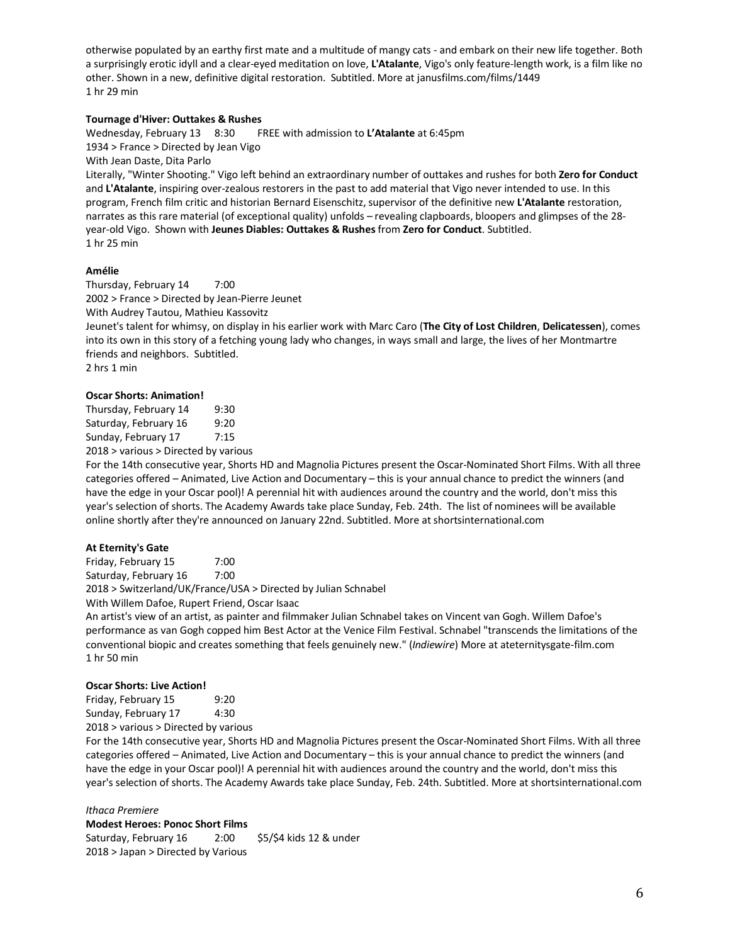otherwise populated by an earthy first mate and a multitude of mangy cats - and embark on their new life together. Both a surprisingly erotic idyll and a clear-eyed meditation on love, **L'Atalante**, Vigo's only feature-length work, is a film like no other. Shown in a new, definitive digital restoration. Subtitled. More at janusfilms.com/films/1449 1 hr 29 min

## **Tournage d'Hiver: Outtakes & Rushes**

Wednesday, February 13 8:30 FREE with admission to **L'Atalante** at 6:45pm 1934 > France > Directed by Jean Vigo With Jean Daste, Dita Parlo Literally, "Winter Shooting." Vigo left behind an extraordinary number of outtakes and rushes for both **Zero for Conduct**

and **L'Atalante**, inspiring over-zealous restorers in the past to add material that Vigo never intended to use. In this program, French film critic and historian Bernard Eisenschitz, supervisor of the definitive new **L'Atalante** restoration, narrates as this rare material (of exceptional quality) unfolds – revealing clapboards, bloopers and glimpses of the 28 year-old Vigo. Shown with **Jeunes Diables: Outtakes & Rushes** from **Zero for Conduct**. Subtitled. 1 hr 25 min

## **Amélie**

Thursday, February 14 7:00 2002 > France > Directed by Jean-Pierre Jeunet With Audrey Tautou, Mathieu Kassovitz Jeunet's talent for whimsy, on display in his earlier work with Marc Caro (**The City of Lost Children**, **Delicatessen**), comes into its own in this story of a fetching young lady who changes, in ways small and large, the lives of her Montmartre friends and neighbors. Subtitled. 2 hrs 1 min

## **Oscar Shorts: Animation!**

Thursday, February 14 9:30 Saturday, February 16 9:20 Sunday, February 17 7:15 2018 > various > Directed by various

For the 14th consecutive year, Shorts HD and Magnolia Pictures present the Oscar-Nominated Short Films. With all three categories offered – Animated, Live Action and Documentary – this is your annual chance to predict the winners (and have the edge in your Oscar pool)! A perennial hit with audiences around the country and the world, don't miss this year's selection of shorts. The Academy Awards take place Sunday, Feb. 24th. The list of nominees will be available online shortly after they're announced on January 22nd. Subtitled. More at shortsinternational.com

## **At Eternity's Gate**

Friday, February 15 7:00 Saturday, February 16 7:00 2018 > Switzerland/UK/France/USA > Directed by Julian Schnabel With Willem Dafoe, Rupert Friend, Oscar Isaac

An artist's view of an artist, as painter and filmmaker Julian Schnabel takes on Vincent van Gogh. Willem Dafoe's performance as van Gogh copped him Best Actor at the Venice Film Festival. Schnabel "transcends the limitations of the conventional biopic and creates something that feels genuinely new." (*Indiewire*) More at ateternitysgate-film.com 1 hr 50 min

## **Oscar Shorts: Live Action!**

Friday, February 15 9:20 Sunday, February 17 4:30 2018 > various > Directed by various

For the 14th consecutive year, Shorts HD and Magnolia Pictures present the Oscar-Nominated Short Films. With all three categories offered – Animated, Live Action and Documentary – this is your annual chance to predict the winners (and have the edge in your Oscar pool)! A perennial hit with audiences around the country and the world, don't miss this year's selection of shorts. The Academy Awards take place Sunday, Feb. 24th. Subtitled. More at shortsinternational.com

## *Ithaca Premiere*

**Modest Heroes: Ponoc Short Films** Saturday, February 16 2:00 \$5/\$4 kids 12 & under 2018 > Japan > Directed by Various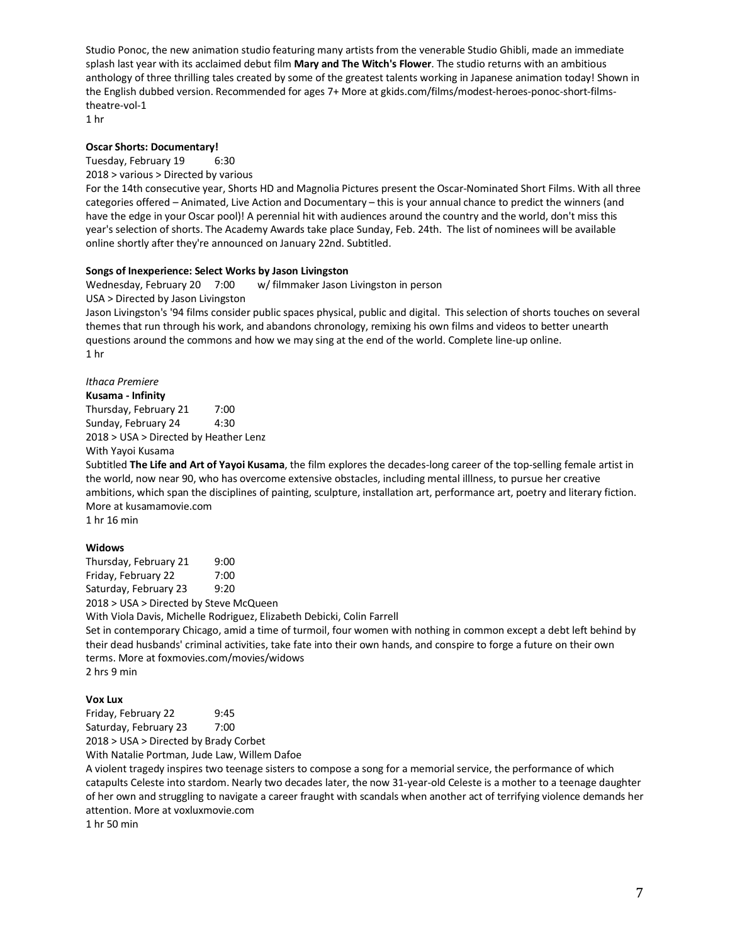Studio Ponoc, the new animation studio featuring many artists from the venerable Studio Ghibli, made an immediate splash last year with its acclaimed debut film **Mary and The Witch's Flower**. The studio returns with an ambitious anthology of three thrilling tales created by some of the greatest talents working in Japanese animation today! Shown in the English dubbed version. Recommended for ages 7+ More at gkids.com/films/modest-heroes-ponoc-short-filmstheatre-vol-1

1 hr

## **Oscar Shorts: Documentary!**

Tuesday, February 19 6:30

2018 > various > Directed by various

For the 14th consecutive year, Shorts HD and Magnolia Pictures present the Oscar-Nominated Short Films. With all three categories offered – Animated, Live Action and Documentary – this is your annual chance to predict the winners (and have the edge in your Oscar pool)! A perennial hit with audiences around the country and the world, don't miss this year's selection of shorts. The Academy Awards take place Sunday, Feb. 24th. The list of nominees will be available online shortly after they're announced on January 22nd. Subtitled.

## **Songs of Inexperience: Select Works by Jason Livingston**

Wednesday, February 20 7:00 w/ filmmaker Jason Livingston in person

USA > Directed by Jason Livingston

Jason Livingston's '94 films consider public spaces physical, public and digital. This selection of shorts touches on several themes that run through his work, and abandons chronology, remixing his own films and videos to better unearth questions around the commons and how we may sing at the end of the world. Complete line-up online. 1 hr

*Ithaca Premiere*

## **Kusama - Infinity**

Thursday, February 21 7:00 Sunday, February 24 4:30 2018 > USA > Directed by Heather Lenz With Yayoi Kusama

Subtitled **The Life and Art of Yayoi Kusama**, the film explores the decades-long career of the top-selling female artist in the world, now near 90, who has overcome extensive obstacles, including mental illlness, to pursue her creative ambitions, which span the disciplines of painting, sculpture, installation art, performance art, poetry and literary fiction. More at kusamamovie.com 1 hr 16 min

## **Widows**

Thursday, February 21 9:00 Friday, February 22 7:00 Saturday, February 23 9:20

2018 > USA > Directed by Steve McQueen

With Viola Davis, Michelle Rodriguez, Elizabeth Debicki, Colin Farrell

Set in contemporary Chicago, amid a time of turmoil, four women with nothing in common except a debt left behind by their dead husbands' criminal activities, take fate into their own hands, and conspire to forge a future on their own terms. More at foxmovies.com/movies/widows 2 hrs 9 min

## **Vox Lux**

Friday, February 22 9:45 Saturday, February 23 7:00 2018 > USA > Directed by Brady Corbet

With Natalie Portman, Jude Law, Willem Dafoe

A violent tragedy inspires two teenage sisters to compose a song for a memorial service, the performance of which catapults Celeste into stardom. Nearly two decades later, the now 31-year-old Celeste is a mother to a teenage daughter of her own and struggling to navigate a career fraught with scandals when another act of terrifying violence demands her attention. More at voxluxmovie.com

1 hr 50 min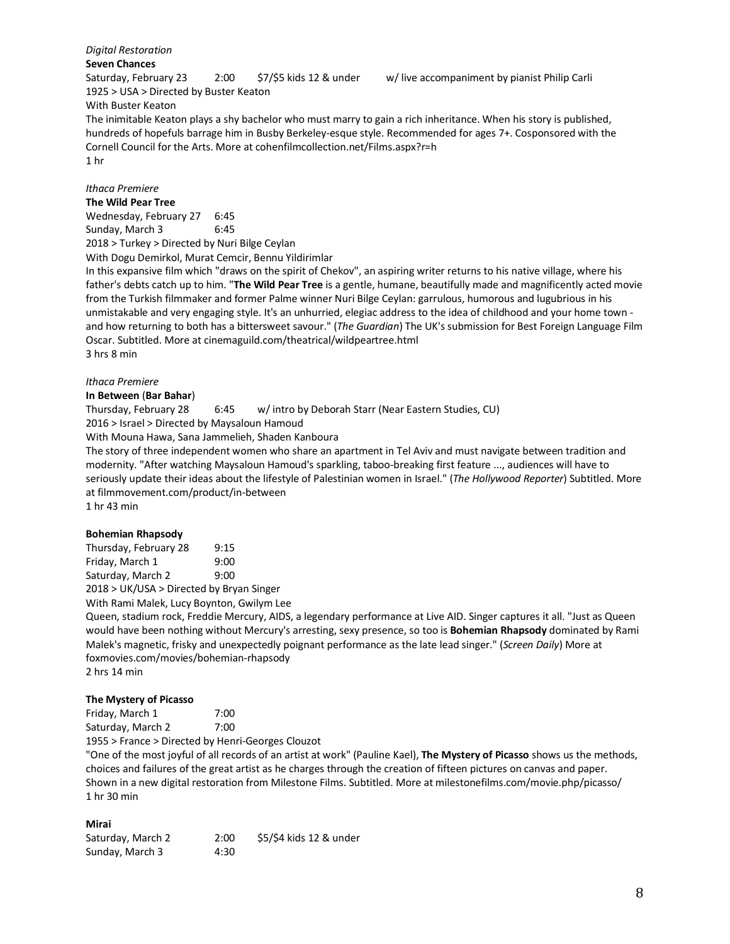#### *Digital Restoration* **Seven Chances**

Saturday, February 23 2:00 \$7/\$5 kids 12 & under w/ live accompaniment by pianist Philip Carli 1925 > USA > Directed by Buster Keaton With Buster Keaton

The inimitable Keaton plays a shy bachelor who must marry to gain a rich inheritance. When his story is published, hundreds of hopefuls barrage him in Busby Berkeley-esque style. Recommended for ages 7+. Cosponsored with the Cornell Council for the Arts. More at cohenfilmcollection.net/Films.aspx?r=h 1 hr

# *Ithaca Premiere*

## **The Wild Pear Tree**

Wednesday, February 27 6:45 Sunday, March 3 6:45 2018 > Turkey > Directed by Nuri Bilge Ceylan

With Dogu Demirkol, Murat Cemcir, Bennu Yildirimlar

In this expansive film which "draws on the spirit of Chekov", an aspiring writer returns to his native village, where his father's debts catch up to him. "**The Wild Pear Tree** is a gentle, humane, beautifully made and magnificently acted movie from the Turkish filmmaker and former Palme winner Nuri Bilge Ceylan: garrulous, humorous and lugubrious in his unmistakable and very engaging style. It's an unhurried, elegiac address to the idea of childhood and your home town and how returning to both has a bittersweet savour." (*The Guardian*) The UK's submission for Best Foreign Language Film Oscar. Subtitled. More at cinemaguild.com/theatrical/wildpeartree.html 3 hrs 8 min

## *Ithaca Premiere*

## **In Between** (**Bar Bahar**)

Thursday, February 28 6:45 w/ intro by Deborah Starr (Near Eastern Studies, CU)

2016 > Israel > Directed by Maysaloun Hamoud

With Mouna Hawa, Sana Jammelieh, Shaden Kanboura

The story of three independent women who share an apartment in Tel Aviv and must navigate between tradition and modernity. "After watching Maysaloun Hamoud's sparkling, taboo-breaking first feature ..., audiences will have to seriously update their ideas about the lifestyle of Palestinian women in Israel." (*The Hollywood Reporter*) Subtitled. More at filmmovement.com/product/in-between

1 hr 43 min

## **Bohemian Rhapsody**

Thursday, February 28 9:15 Friday, March 1 9:00 Saturday, March 2 9:00

2018 > UK/USA > Directed by Bryan Singer

With Rami Malek, Lucy Boynton, Gwilym Lee

Queen, stadium rock, Freddie Mercury, AIDS, a legendary performance at Live AID. Singer captures it all. "Just as Queen would have been nothing without Mercury's arresting, sexy presence, so too is **Bohemian Rhapsody** dominated by Rami Malek's magnetic, frisky and unexpectedly poignant performance as the late lead singer." (*Screen Daily*) More at foxmovies.com/movies/bohemian-rhapsody 2 hrs 14 min

## **The Mystery of Picasso**

Friday, March 1 7:00 Saturday, March 2 7:00

1955 > France > Directed by Henri-Georges Clouzot

"One of the most joyful of all records of an artist at work" (Pauline Kael), **The Mystery of Picasso** shows us the methods, choices and failures of the great artist as he charges through the creation of fifteen pictures on canvas and paper. Shown in a new digital restoration from Milestone Films. Subtitled. More at milestonefilms.com/movie.php/picasso/ 1 hr 30 min

## **Mirai**

| Saturday, March 2 | 2:00 | \$5/\$4 kids 12 & under |
|-------------------|------|-------------------------|
| Sunday, March 3   | 4:30 |                         |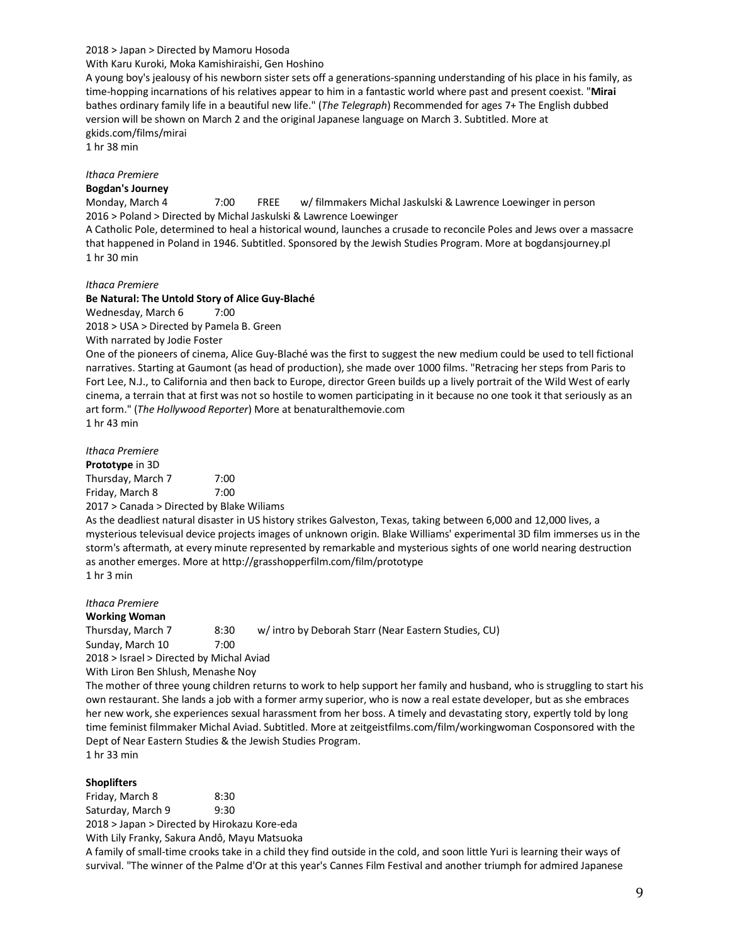### 2018 > Japan > Directed by Mamoru Hosoda

With Karu Kuroki, Moka Kamishiraishi, Gen Hoshino

A young boy's jealousy of his newborn sister sets off a generations-spanning understanding of his place in his family, as time-hopping incarnations of his relatives appear to him in a fantastic world where past and present coexist. "**Mirai** bathes ordinary family life in a beautiful new life." (*The Telegraph*) Recommended for ages 7+ The English dubbed version will be shown on March 2 and the original Japanese language on March 3. Subtitled. More at gkids.com/films/mirai

1 hr 38 min

## *Ithaca Premiere*

## **Bogdan's Journey**

Monday, March 4 7:00 FREE w/ filmmakers Michal Jaskulski & Lawrence Loewinger in person 2016 > Poland > Directed by Michal Jaskulski & Lawrence Loewinger

A Catholic Pole, determined to heal a historical wound, launches a crusade to reconcile Poles and Jews over a massacre that happened in Poland in 1946. Subtitled. Sponsored by the Jewish Studies Program. More at bogdansjourney.pl 1 hr 30 min

#### *Ithaca Premiere*

### **Be Natural: The Untold Story of Alice Guy-Blaché**

Wednesday, March 6 7:00

2018 > USA > Directed by Pamela B. Green

With narrated by Jodie Foster

One of the pioneers of cinema, Alice Guy-Blaché was the first to suggest the new medium could be used to tell fictional narratives. Starting at Gaumont (as head of production), she made over 1000 films. "Retracing her steps from Paris to Fort Lee, N.J., to California and then back to Europe, director Green builds up a lively portrait of the Wild West of early cinema, a terrain that at first was not so hostile to women participating in it because no one took it that seriously as an art form." (*The Hollywood Reporter*) More at benaturalthemovie.com 1 hr 43 min

| <i><b>Ithaca Premiere</b></i> |      |
|-------------------------------|------|
| <b>Prototype in 3D</b>        |      |
| Thursday, March 7             | 7:00 |
| Friday, March 8               | 7:00 |

2017 > Canada > Directed by Blake Wiliams

As the deadliest natural disaster in US history strikes Galveston, Texas, taking between 6,000 and 12,000 lives, a mysterious televisual device projects images of unknown origin. Blake Williams' experimental 3D film immerses us in the storm's aftermath, at every minute represented by remarkable and mysterious sights of one world nearing destruction as another emerges. More at http://grasshopperfilm.com/film/prototype

1 hr 3 min

*Ithaca Premiere* **Working Woman** Thursday, March 7 8:30 w/ intro by Deborah Starr (Near Eastern Studies, CU) Sunday, March 10 7:00 2018 > Israel > Directed by Michal Aviad

With Liron Ben Shlush, Menashe Noy

The mother of three young children returns to work to help support her family and husband, who is struggling to start his own restaurant. She lands a job with a former army superior, who is now a real estate developer, but as she embraces her new work, she experiences sexual harassment from her boss. A timely and devastating story, expertly told by long time feminist filmmaker Michal Aviad. Subtitled. More at zeitgeistfilms.com/film/workingwoman Cosponsored with the Dept of Near Eastern Studies & the Jewish Studies Program. 1 hr 33 min

## **Shoplifters**

Friday, March 8 8:30 Saturday, March 9 9:30 2018 > Japan > Directed by Hirokazu Kore-eda With Lily Franky, Sakura Andô, Mayu Matsuoka

A family of small-time crooks take in a child they find outside in the cold, and soon little Yuri is learning their ways of survival. "The winner of the Palme d'Or at this year's Cannes Film Festival and another triumph for admired Japanese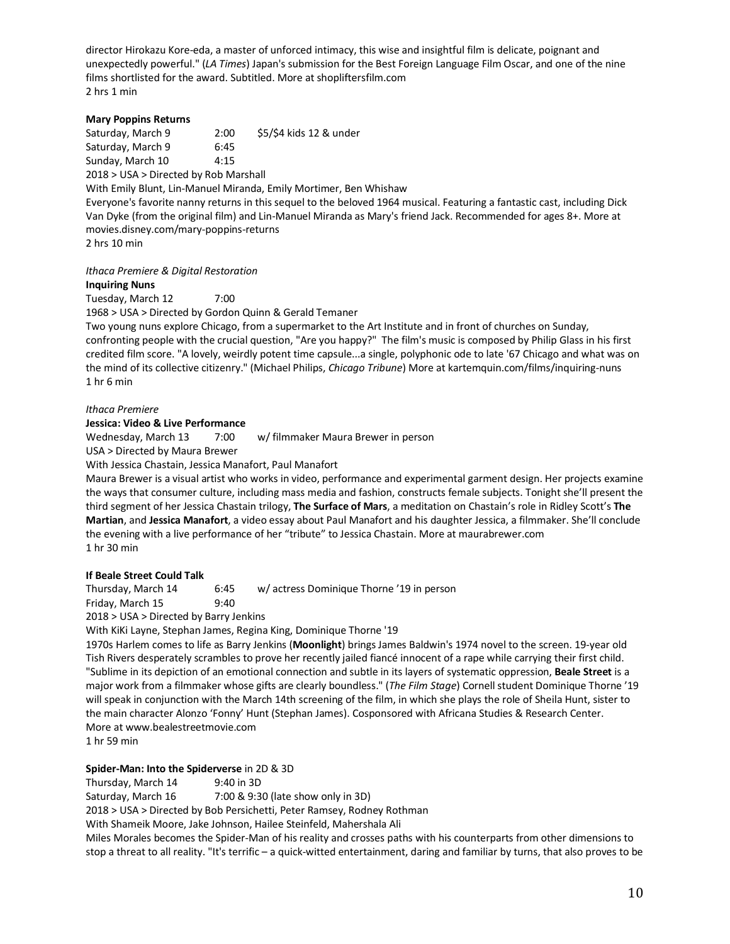director Hirokazu Kore-eda, a master of unforced intimacy, this wise and insightful film is delicate, poignant and unexpectedly powerful." (*LA Times*) Japan's submission for the Best Foreign Language Film Oscar, and one of the nine films shortlisted for the award. Subtitled. More at shopliftersfilm.com 2 hrs 1 min

## **Mary Poppins Returns**

Saturday, March 9 2:00 \$5/\$4 kids 12 & under Saturday, March 9 6:45 Sunday, March 10 4:15 2018 > USA > Directed by Rob Marshall

With Emily Blunt, Lin-Manuel Miranda, Emily Mortimer, Ben Whishaw

Everyone's favorite nanny returns in this sequel to the beloved 1964 musical. Featuring a fantastic cast, including Dick Van Dyke (from the original film) and Lin-Manuel Miranda as Mary's friend Jack. Recommended for ages 8+. More at movies.disney.com/mary-poppins-returns

2 hrs 10 min

## *Ithaca Premiere & Digital Restoration*

## **Inquiring Nuns**

Tuesday, March 12 7:00

1968 > USA > Directed by Gordon Quinn & Gerald Temaner

Two young nuns explore Chicago, from a supermarket to the Art Institute and in front of churches on Sunday, confronting people with the crucial question, "Are you happy?" The film's music is composed by Philip Glass in his first credited film score. "A lovely, weirdly potent time capsule...a single, polyphonic ode to late '67 Chicago and what was on the mind of its collective citizenry." (Michael Philips, *Chicago Tribune*) More at kartemquin.com/films/inquiring-nuns 1 hr 6 min

## *Ithaca Premiere*

## **Jessica: Video & Live Performance**

Wednesday, March 13 7:00 w/ filmmaker Maura Brewer in person

USA > Directed by Maura Brewer

With Jessica Chastain, Jessica Manafort, Paul Manafort

Maura Brewer is a visual artist who works in video, performance and experimental garment design. Her projects examine the ways that consumer culture, including mass media and fashion, constructs female subjects. Tonight she'll present the third segment of her Jessica Chastain trilogy, **The Surface of Mars**, a meditation on Chastain's role in Ridley Scott's **The Martian**, and **Jessica Manafort**, a video essay about Paul Manafort and his daughter Jessica, a filmmaker. She'll conclude the evening with a live performance of her "tribute" to Jessica Chastain. More at maurabrewer.com 1 hr 30 min

## **If Beale Street Could Talk**

Thursday, March 14 6:45 w/ actress Dominique Thorne '19 in person Friday, March 15 9:40

2018 > USA > Directed by Barry Jenkins

With KiKi Layne, Stephan James, Regina King, Dominique Thorne '19

1970s Harlem comes to life as Barry Jenkins (**Moonlight**) brings James Baldwin's 1974 novel to the screen. 19-year old Tish Rivers desperately scrambles to prove her recently jailed fiancé innocent of a rape while carrying their first child. "Sublime in its depiction of an emotional connection and subtle in its layers of systematic oppression, **Beale Street** is a major work from a filmmaker whose gifts are clearly boundless." (*The Film Stage*) Cornell student Dominique Thorne '19 will speak in conjunction with the March 14th screening of the film, in which she plays the role of Sheila Hunt, sister to the main character Alonzo 'Fonny' Hunt (Stephan James). Cosponsored with Africana Studies & Research Center. More at www.bealestreetmovie.com

1 hr 59 min

## **Spider-Man: Into the Spiderverse** in 2D & 3D

Thursday, March 14 9:40 in 3D

Saturday, March 16 7:00 & 9:30 (late show only in 3D)

2018 > USA > Directed by Bob Persichetti, Peter Ramsey, Rodney Rothman

With Shameik Moore, Jake Johnson, Hailee Steinfeld, Mahershala Ali

Miles Morales becomes the Spider-Man of his reality and crosses paths with his counterparts from other dimensions to stop a threat to all reality. "It's terrific – a quick-witted entertainment, daring and familiar by turns, that also proves to be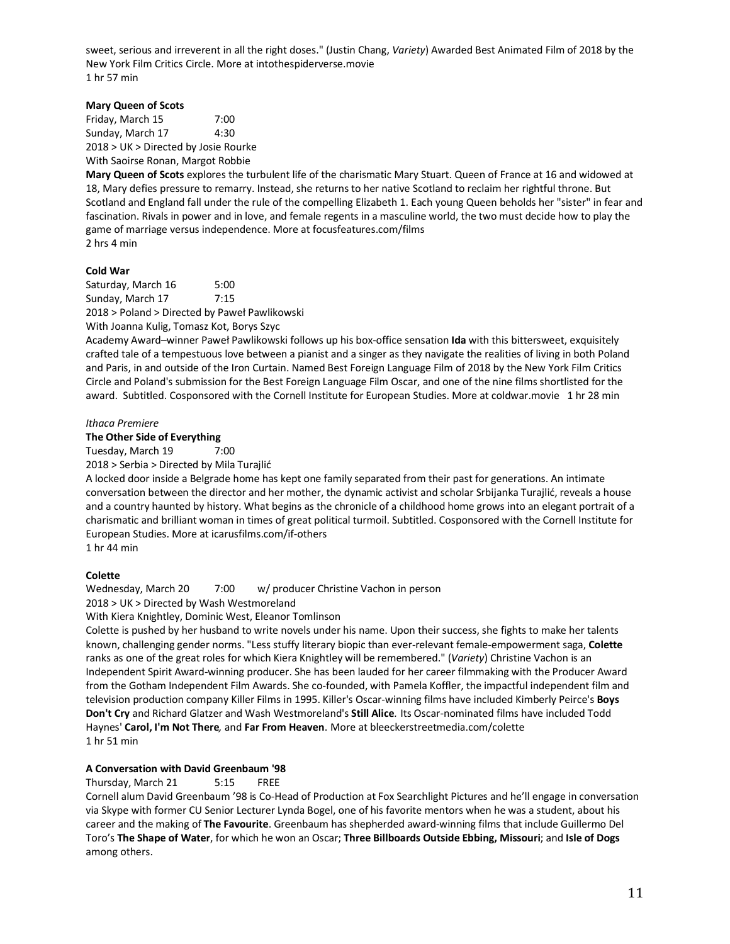sweet, serious and irreverent in all the right doses." (Justin Chang, *Variety*) Awarded Best Animated Film of 2018 by the New York Film Critics Circle. More at intothespiderverse.movie 1 hr 57 min

## **Mary Queen of Scots**

Friday, March 15 7:00 Sunday, March 17 4:30 2018 > UK > Directed by Josie Rourke With Saoirse Ronan, Margot Robbie

**Mary Queen of Scots** explores the turbulent life of the charismatic Mary Stuart. Queen of France at 16 and widowed at 18, Mary defies pressure to remarry. Instead, she returns to her native Scotland to reclaim her rightful throne. But Scotland and England fall under the rule of the compelling Elizabeth 1. Each young Queen beholds her "sister" in fear and fascination. Rivals in power and in love, and female regents in a masculine world, the two must decide how to play the game of marriage versus independence. More at focusfeatures.com/films 2 hrs 4 min

## **Cold War**

Saturday, March 16 5:00 Sunday, March 17 7:15 2018 > Poland > Directed by Paweł Pawlikowski With Joanna Kulig, Tomasz Kot, Borys Szyc

Academy Award–winner Paweł Pawlikowski follows up his box-office sensation **Ida** with this bittersweet, exquisitely crafted tale of a tempestuous love between a pianist and a singer as they navigate the realities of living in both Poland and Paris, in and outside of the Iron Curtain. Named Best Foreign Language Film of 2018 by the New York Film Critics Circle and Poland's submission for the Best Foreign Language Film Oscar, and one of the nine films shortlisted for the award. Subtitled. Cosponsored with the Cornell Institute for European Studies. More at coldwar.movie 1 hr 28 min

## *Ithaca Premiere*

**The Other Side of Everything**

Tuesday, March 19 7:00

2018 > Serbia > Directed by Mila Turajlić

A locked door inside a Belgrade home has kept one family separated from their past for generations. An intimate conversation between the director and her mother, the dynamic activist and scholar Srbijanka Turajlić, reveals a house and a country haunted by history. What begins as the chronicle of a childhood home grows into an elegant portrait of a charismatic and brilliant woman in times of great political turmoil. Subtitled. Cosponsored with the Cornell Institute for European Studies. More at icarusfilms.com/if-others

1 hr 44 min

## **Colette**

Wednesday, March 20 7:00 w/ producer Christine Vachon in person

2018 > UK > Directed by Wash Westmoreland

With Kiera Knightley, Dominic West, Eleanor Tomlinson

Colette is pushed by her husband to write novels under his name. Upon their success, she fights to make her talents known, challenging gender norms. "Less stuffy literary biopic than ever-relevant female-empowerment saga, **Colette** ranks as one of the great roles for which Kiera Knightley will be remembered." (*Variety*) Christine Vachon is an Independent Spirit Award-winning producer. She has been lauded for her career filmmaking with the Producer Award from the Gotham Independent Film Awards. She co-founded, with Pamela Koffler, the impactful independent film and television production company Killer Films in 1995. Killer's Oscar-winning films have included Kimberly Peirce's **Boys Don't Cry** and Richard Glatzer and Wash Westmoreland's **Still Alice***.* Its Oscar-nominated films have included Todd Haynes' **Carol, I'm Not There***,* and **Far From Heaven**. More at bleeckerstreetmedia.com/colette 1 hr 51 min

## **A Conversation with David Greenbaum '98**

## Thursday, March 21 5:15 FREE

Cornell alum David Greenbaum '98 is Co-Head of Production at Fox Searchlight Pictures and he'll engage in conversation via Skype with former CU Senior Lecturer Lynda Bogel, one of his favorite mentors when he was a student, about his career and the making of **The Favourite**. Greenbaum has shepherded award-winning films that include Guillermo Del Toro's **The Shape of Water**, for which he won an Oscar; **Three Billboards Outside Ebbing, Missouri**; and **Isle of Dogs** among others.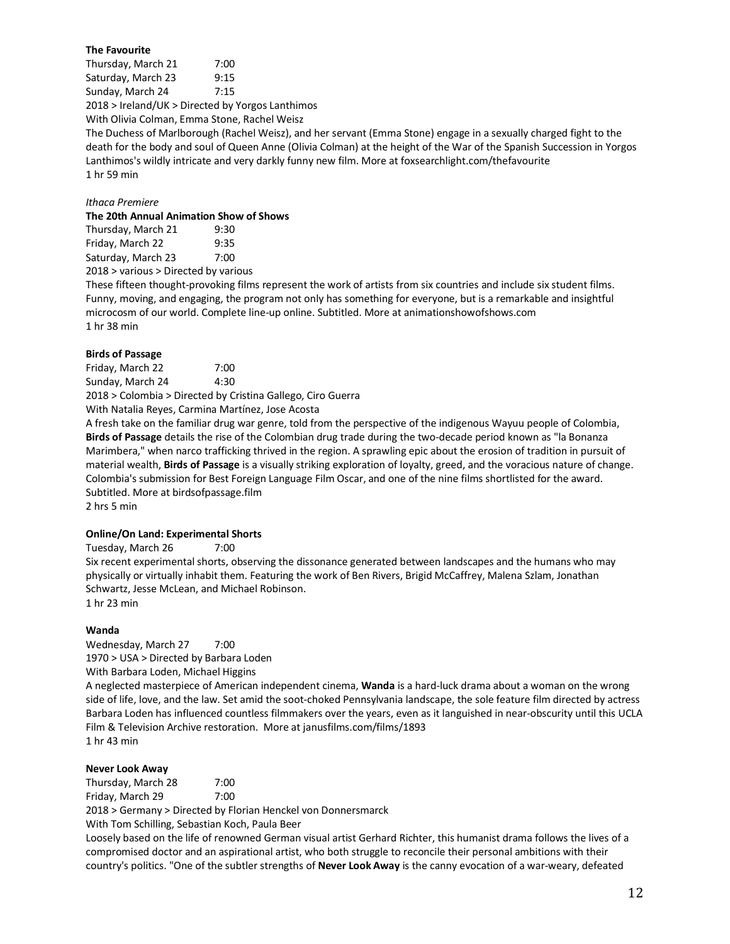## **The Favourite**

Thursday, March 21 7:00 Saturday, March 23 9:15 Sunday, March 24 7:15 2018 > Ireland/UK > Directed by Yorgos Lanthimos With Olivia Colman, Emma Stone, Rachel Weisz

The Duchess of Marlborough (Rachel Weisz), and her servant (Emma Stone) engage in a sexually charged fight to the death for the body and soul of Queen Anne (Olivia Colman) at the height of the War of the Spanish Succession in Yorgos Lanthimos's wildly intricate and very darkly funny new film. More at foxsearchlight.com/thefavourite 1 hr 59 min

## *Ithaca Premiere*

## **The 20th Annual Animation Show of Shows**

Thursday, March 21 9:30 Friday, March 22 9:35 Saturday, March 23 7:00

2018 > various > Directed by various

These fifteen thought-provoking films represent the work of artists from six countries and include six student films. Funny, moving, and engaging, the program not only has something for everyone, but is a remarkable and insightful microcosm of our world. Complete line-up online. Subtitled. More at animationshowofshows.com 1 hr 38 min

## **Birds of Passage**

Friday, March 22 7:00 Sunday, March 24 4:30 2018 > Colombia > Directed by Cristina Gallego, Ciro Guerra

With Natalia Reyes, Carmina Martínez, Jose Acosta

A fresh take on the familiar drug war genre, told from the perspective of the indigenous Wayuu people of Colombia, **Birds of Passage** details the rise of the Colombian drug trade during the two-decade period known as "la Bonanza Marimbera," when narco trafficking thrived in the region. A sprawling epic about the erosion of tradition in pursuit of material wealth, **Birds of Passage** is a visually striking exploration of loyalty, greed, and the voracious nature of change. Colombia's submission for Best Foreign Language Film Oscar, and one of the nine films shortlisted for the award. Subtitled. More at birdsofpassage.film 2 hrs 5 min

## **Online/On Land: Experimental Shorts**

Tuesday, March 26 7:00 Six recent experimental shorts, observing the dissonance generated between landscapes and the humans who may physically or virtually inhabit them. Featuring the work of Ben Rivers, Brigid McCaffrey, Malena Szlam, Jonathan Schwartz, Jesse McLean, and Michael Robinson. 1 hr 23 min

## **Wanda**

Wednesday, March 27 7:00 1970 > USA > Directed by Barbara Loden With Barbara Loden, Michael Higgins

A neglected masterpiece of American independent cinema, **Wanda** is a hard-luck drama about a woman on the wrong side of life, love, and the law. Set amid the soot-choked Pennsylvania landscape, the sole feature film directed by actress Barbara Loden has influenced countless filmmakers over the years, even as it languished in near-obscurity until this UCLA Film & Television Archive restoration. More at janusfilms.com/films/1893 1 hr 43 min

## **Never Look Away**

Thursday, March 28 7:00 Friday, March 29 7:00 2018 > Germany > Directed by Florian Henckel von Donnersmarck

With Tom Schilling, Sebastian Koch, Paula Beer

Loosely based on the life of renowned German visual artist Gerhard Richter, this humanist drama follows the lives of a compromised doctor and an aspirational artist, who both struggle to reconcile their personal ambitions with their country's politics. "One of the subtler strengths of **Never Look Away** is the canny evocation of a war-weary, defeated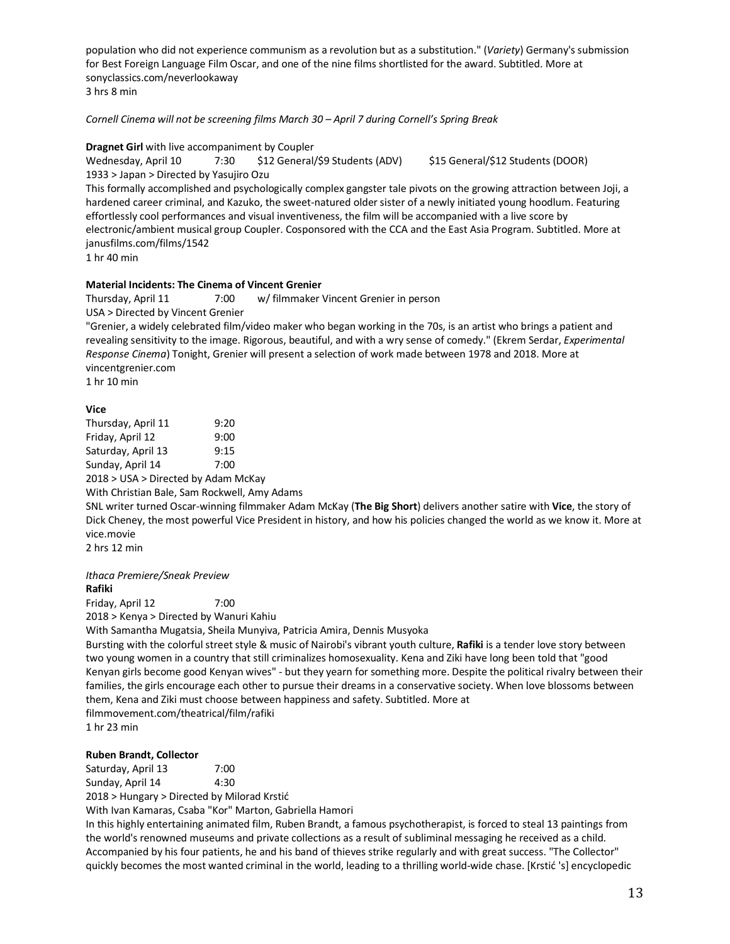population who did not experience communism as a revolution but as a substitution." (*Variety*) Germany's submission for Best Foreign Language Film Oscar, and one of the nine films shortlisted for the award. Subtitled. More at sonyclassics.com/neverlookaway 3 hrs 8 min

*Cornell Cinema will not be screening films March 30 – April 7 during Cornell's Spring Break*

## **Dragnet Girl** with live accompaniment by Coupler

Wednesday, April 10 7:30 \$12 General/\$9 Students (ADV) \$15 General/\$12 Students (DOOR) 1933 > Japan > Directed by Yasujiro Ozu

This formally accomplished and psychologically complex gangster tale pivots on the growing attraction between Joji, a hardened career criminal, and Kazuko, the sweet-natured older sister of a newly initiated young hoodlum. Featuring effortlessly cool performances and visual inventiveness, the film will be accompanied with a live score by electronic/ambient musical group Coupler. Cosponsored with the CCA and the East Asia Program. Subtitled. More at janusfilms.com/films/1542

1 hr 40 min

## **Material Incidents: The Cinema of Vincent Grenier**

Thursday, April 11 7:00 w/ filmmaker Vincent Grenier in person USA > Directed by Vincent Grenier

"Grenier, a widely celebrated film/video maker who began working in the 70s, is an artist who brings a patient and revealing sensitivity to the image. Rigorous, beautiful, and with a wry sense of comedy." (Ekrem Serdar, *Experimental Response Cinema*) Tonight, Grenier will present a selection of work made between 1978 and 2018. More at vincentgrenier.com

1 hr 10 min

## **Vice**

| Thursday, April 11                           | 9:20 |  |
|----------------------------------------------|------|--|
| Friday, April 12                             | 9:00 |  |
| Saturday, April 13                           | 9:15 |  |
| Sunday, April 14                             | 7:00 |  |
| 2018 > USA > Directed by Adam McKay          |      |  |
| With Christian Bale, Sam Rockwell, Amy Adams |      |  |

SNL writer turned Oscar-winning filmmaker Adam McKay (**The Big Short**) delivers another satire with **Vice**, the story of Dick Cheney, the most powerful Vice President in history, and how his policies changed the world as we know it. More at vice.movie

2 hrs 12 min

*Ithaca Premiere/Sneak Preview* **Rafiki**

Friday, April 12 7:00 2018 > Kenya > Directed by Wanuri Kahiu

With Samantha Mugatsia, Sheila Munyiva, Patricia Amira, Dennis Musyoka

Bursting with the colorful street style & music of Nairobi's vibrant youth culture, **Rafiki** is a tender love story between two young women in a country that still criminalizes homosexuality. Kena and Ziki have long been told that "good Kenyan girls become good Kenyan wives" - but they yearn for something more. Despite the political rivalry between their families, the girls encourage each other to pursue their dreams in a conservative society. When love blossoms between them, Kena and Ziki must choose between happiness and safety. Subtitled. More at filmmovement.com/theatrical/film/rafiki

1 hr 23 min

## **Ruben Brandt, Collector**

Saturday, April 13 7:00

Sunday, April 14 4:30

2018 > Hungary > Directed by Milorad Krstić

With Ivan Kamaras, Csaba "Kor" Marton, Gabriella Hamori

In this highly entertaining animated film, Ruben Brandt, a famous psychotherapist, is forced to steal 13 paintings from the world's renowned museums and private collections as a result of subliminal messaging he received as a child. Accompanied by his four patients, he and his band of thieves strike regularly and with great success. "The Collector" quickly becomes the most wanted criminal in the world, leading to a thrilling world-wide chase. [Krstić 's] encyclopedic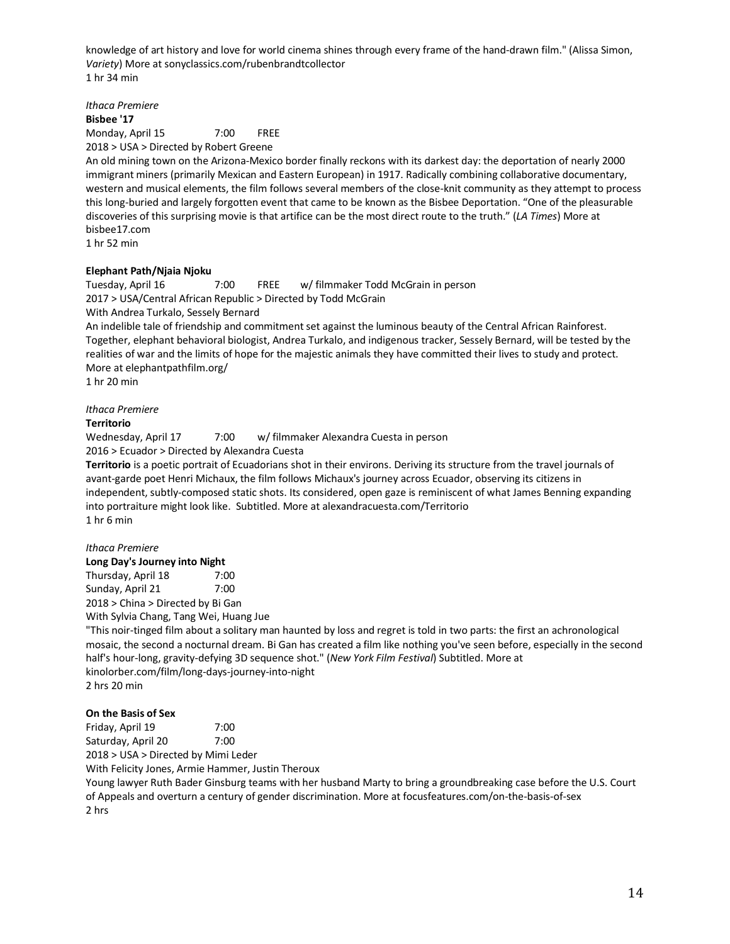knowledge of art history and love for world cinema shines through every frame of the hand-drawn film." (Alissa Simon, *Variety*) More at sonyclassics.com/rubenbrandtcollector 1 hr 34 min

*Ithaca Premiere* **Bisbee '17** Monday, April 15 7:00 FREE 2018 > USA > Directed by Robert Greene

An old mining town on the Arizona-Mexico border finally reckons with its darkest day: the deportation of nearly 2000 immigrant miners (primarily Mexican and Eastern European) in 1917. Radically combining collaborative documentary, western and musical elements, the film follows several members of the close-knit community as they attempt to process this long-buried and largely forgotten event that came to be known as the Bisbee Deportation. "One of the pleasurable discoveries of this surprising movie is that artifice can be the most direct route to the truth." (*LA Times*) More at bisbee17.com

1 hr 52 min

## **Elephant Path/Njaia Njoku**

Tuesday, April 16 7:00 FREE w/ filmmaker Todd McGrain in person 2017 > USA/Central African Republic > Directed by Todd McGrain With Andrea Turkalo, Sessely Bernard

An indelible tale of friendship and commitment set against the luminous beauty of the Central African Rainforest. Together, elephant behavioral biologist, Andrea Turkalo, and indigenous tracker, Sessely Bernard, will be tested by the realities of war and the limits of hope for the majestic animals they have committed their lives to study and protect. More at elephantpathfilm.org/

1 hr 20 min

## *Ithaca Premiere*

## **Territorio**

Wednesday, April 17 7:00 w/ filmmaker Alexandra Cuesta in person 2016 > Ecuador > Directed by Alexandra Cuesta

**Territorio** is a poetic portrait of Ecuadorians shot in their environs. Deriving its structure from the travel journals of avant-garde poet Henri Michaux, the film follows Michaux's journey across Ecuador, observing its citizens in independent, subtly-composed static shots. Its considered, open gaze is reminiscent of what James Benning expanding into portraiture might look like. Subtitled. More at alexandracuesta.com/Territorio 1 hr 6 min

## *Ithaca Premiere*

**Long Day's Journey into Night**

Thursday, April 18 7:00 Sunday, April 21 7:00 2018 > China > Directed by Bi Gan

With Sylvia Chang, Tang Wei, Huang Jue

"This noir-tinged film about a solitary man haunted by loss and regret is told in two parts: the first an achronological mosaic, the second a nocturnal dream. Bi Gan has created a film like nothing you've seen before, especially in the second half's hour-long, gravity-defying 3D sequence shot." (*New York Film Festival*) Subtitled. More at kinolorber.com/film/long-days-journey-into-night 2 hrs 20 min

## **On the Basis of Sex**

Friday, April 19 7:00 Saturday, April 20 7:00

2018 > USA > Directed by Mimi Leder

With Felicity Jones, Armie Hammer, Justin Theroux

Young lawyer Ruth Bader Ginsburg teams with her husband Marty to bring a groundbreaking case before the U.S. Court of Appeals and overturn a century of gender discrimination. More at focusfeatures.com/on-the-basis-of-sex 2 hrs